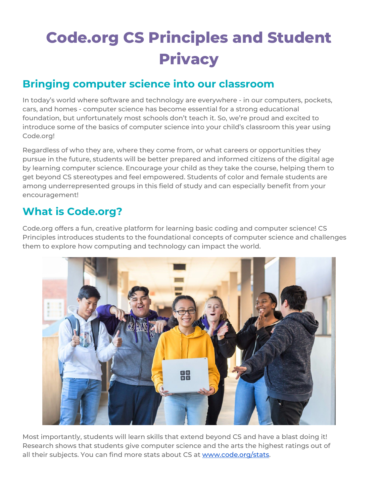# **Code.org CS Principles and Student Privacy**

## **Bringing computer science into our classroom**

In today's world where software and technology are everywhere - in our computers, pockets, cars, and homes - computer science has become essential for a strong educational foundation, but unfortunately most schools don't teach it. So, we're proud and excited to introduce some of the basics of computer science into your child's classroom this year using Code.org!

Regardless of who they are, where they come from, or what careers or opportunities they pursue in the future, students will be better prepared and informed citizens of the digital age by learning computer science. Encourage your child as they take the course, helping them to get beyond CS stereotypes and feel empowered. Students of color and female students are among underrepresented groups in this field of study and can especially benefit from your encouragement!

## **What is Code.org?**

Code.org offers a fun, creative platform for learning basic coding and computer science! CS Principles introduces students to the foundational concepts of computer science and challenges them to explore how computing and technology can impact the world.



Most importantly, students will learn skills that extend beyond CS and have a blast doing it! Research shows that students give computer science and the arts the highest ratings out of all their subjects. You can find more stats [about](https://code.org/stats) CS at [www.code.org/stats](http://www.code.org/stats)[.](https://code.org/stats)